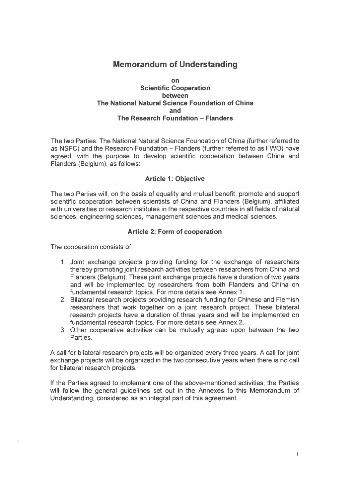## **Memorandum of Understanding**

## **on Scientific Cooperation between The National Natural Science Foundation of China and The Research Foundation - Flanders**

The two Parties: The National Natural Science Foundation of China (further referred to as NSFC) and the Research Foundation - Flanders (further referred to as FWO) have agreed, with the purpose to develop scientific cooperation between China and Flanders (Belgium), as follows:

#### **Article 1: Objective**

The two Parties will, on the basis of equality and mutual benefit, promote and support scientific cooperation between scientists of China and Flanders (Belgium), affiliated with universities or research institutes in the respective countries in all fields of natural sciences, engineering sciences, management sciences and medical sciences.

## **Article 2: Form of cooperation**

The cooperation consists of:

- 1. Joint exchange projects providing funding for the exchange of researchers thereby promoting joint research activities between researchers from China and Flanders (Belgium). These joint exchange projects have a duration of two years and will be implemented by researchers from both Flanders and China on fundamental research topics. For more details see Annex 1.
- 2. Bilateral research projects providing research funding for Chinese and Flemish researchers that work together on a joint research project. These bilateral research projects have a duration of three years and will be implemented on fundamental research topics. For more details see Annex 2.
- 3. Other cooperative activities can be mutually agreed upon between the two **Parties**

A call for bilateral research projects will be organized every three years. A call for joint exchange projects will be organized in the two consecutive years when there is no call for bilateral research projects.

If the Parties agreed to implement one of the above-mentioned activities, the Parties will follow the general guidelines set out in the Annexes to this Memorandum of Understanding, considered as an integral part of this agreement.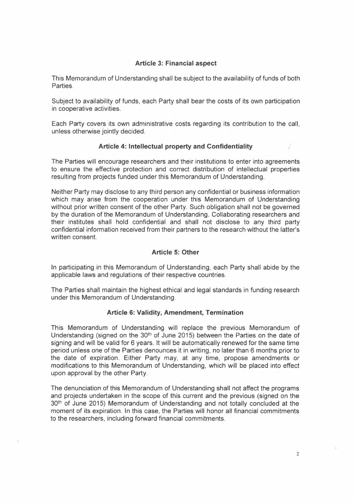## Article 3: Financial aspect

This Memorandum of Understanding shall be subject to the availability of funds of both Parties.

Subject to availability of funds, each Party shall bear the costs of its own participation in cooperative activities.

Each Party covers its own administrative costs regarding its contribution to the call, unless otherwise jointly decided.

#### Article 4: Intellectual property and Confidentiality

The Parties will encourage researchers and their institutions to enter into agreements to ensure the effective protection and correct distribution of intellectual properties resulting from projects funded under this Memorandum of Understanding.

Neither Party may disclose to any third person any confidential or business information which may arise from the cooperation under this Memorandum of Understanding without prior written consent of the other Party. Such obligation shall not be governed by the duration of the Memorandum of Understanding. Collaborating researchers and their institutes shall hold confidential and shall not disclose to any third party confidential information received from their partners to the research without the latter's written consent.

## Article 5: Other

In participating in this Memorandum of Understanding, each Party shall abide by the applicable laws and regulations of their respective countries.

The Parties shall maintain the highest ethical and legal standards in funding research under this Memorandum of Understanding.

## Article 6: Validity, Amendment, Termination

This Memorandum of Understanding will replace the previous Memorandum of Understanding (signed on the  $30<sup>th</sup>$  of June 2015) between the Parties on the date of signing and will be valid for 6 years. It will be automatically renewed for the same time period unless one of the Parties denounces it in writing, no later than 6 months prior to the date of expiration. Either Party may, at any time, propose amendments or modifications to this Memorandum of Understanding, which will be placed into effect upon approval by the other Party.

The denunciation of this Memorandum of Understanding shall not affect the programs and projects undertaken in the scope of this current and the previous (signed on the 30th of June 2015) Memorandum of Understanding and not totally concluded at the moment of its expiration. In this case, the Parties will honor all financial commitments to the researchers, including forward financial commitments.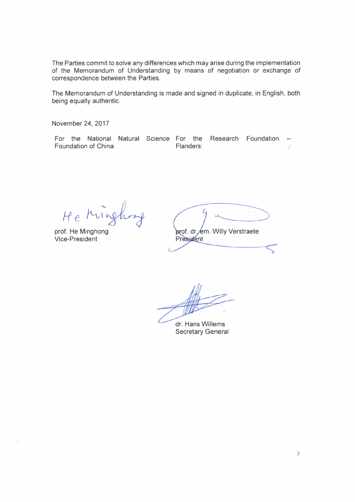The Parties commit to solve any differences which may arise during the implementation of the Memorandum of Understanding by means of negotiation or exchange of correspondence between the Parties.

The Memorandum of Understanding is made and signed in duplicate, in English, both being equally authentic.

November 24, 2017

For the National Natural Science For the Research Foundation Foundation of China: Flanders:

 $He$  *fuing* 

prof. He Minghong Vice-President

prof. dr. em. Willy Verstraete President

dr. Hans Willems Secretary General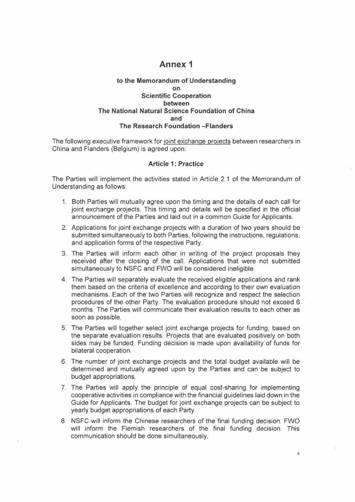# **Annex 1**

## **to the Memorandum of Understanding on Scientific Cooperation between The National Natural Science Foundation of China and The Research Foundation -Flanders**

The following executive framework for joint exchange projects between researchers in China and Flanders (Belgium) is agreed upon:

## **Article 1: Practice**

The Parties will implement the activities stated in Article 2.1 of the Memorandum of Understanding as follows:

- 1. Both Parties will mutually agree upon the timing and the details of each call for joint exchange projects. This timing and details will be specified in the official announcement of the Parties and laid out in a common Guide for Applicants.
- 2. Applications for joint exchange projects with a duration of two years should be submitted simultaneously to both Parties, following the instructions, regulations, and application forms of the respective Party.
- 3. The Parties will inform each other in writing of the project proposals they received after the closing of the call. Applications that were not submitted simultaneously to NSFC and FWO will be considered ineligible.
- 4. The Parties will separately evaluate the received eligible applications and rank them based on the criteria of excellence and according to their own evaluation mechanisms. Each of the two Parties will recognize and respect the selection procedures of the other Party. The evaluation procedure should not exceed 6 months. The Parties will communicate their evaluation results to each other as soon as possible.
- 5. The Parties will together select joint exchange projects for funding, based on the separate evaluation results. Projects that are evaluated positively on both sides may be funded. Funding decision is made upon availability of funds for bilateral cooperation.
- 6. The number of joint exchange projects and the total budget available will be determined and mutually agreed upon by the Parties and can be subject to budget appropriations.
- 7. The Parties will apply the principle of equal cost-sharing for implementing cooperative activities in compliance with the financial guidelines laid down in the Guide for Applicants. The budget for joint exchange projects can be subject to yearly budget appropriations of each Party.
- 8. NSFC will inform the Chinese researchers of the final funding decision. FWO will inform the Flemish researchers of the final funding decision. This communication should be done simultaneously.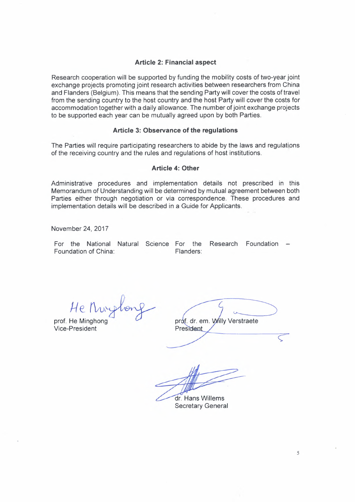### **Article 2: Financial aspect**

Research cooperation will be supported by funding the mobility costs of two-year joint exchange projects promoting joint research activities between researchers from China and Flanders (Belgium). This means that the sending Party will cover the costs of travel from the sending country to the host country and the host Party will cover the costs for accommodation together with a daily allowance. The number of joint exchange projects to be supported each year can be mutually agreed upon by both Parties.

#### **Article 3: Observance of the regulations**

The Parties will require participating researchers to abide by the laws and regulations of the receiving country and the rules and regulations of host institutions.

#### **Article 4: Other**

Administrative procedures and implementation details not prescribed in this Memorandum of Understanding will be determined by mutual agreement between both Parties either through negotiation or via correspondence. These procedures and implementation details will be described in a Guide for Applicants.

November 24, 2017

For the National Natural Science For the Research Foundation Foundation of China: Flanders:

He Murylong<br>prof. He Minghong<br>Vice-President

prof. dr. em. Willy Verstraete President

dr. Hans Willems Secretary General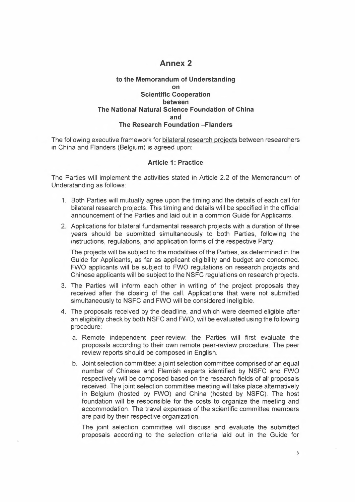## **Annex 2**

## **to the Memorandum of Understanding on Scientific Cooperation between The National Natural Science Foundation of China and The Research Foundation -Flanders**

The following executive framework for bilateral research projects between researchers in China and Flanders (Belgium) is agreed upon:

### **Article 1: Practice**

The Parties will implement the activities stated in Article 2.2 of the Memorandum of Understanding as follows:

- 1. Both Parties will mutually agree upon the timing and the details of each call for bilateral research projects. This timing and details will be specified in the official announcement of the Parties and laid out in a common Guidé for Applicants.
- 2. Applications for bilateral fundamental research projects with a duration of three years should be submitted simultaneously to both Parties, following the instructions, regulations, and application forms of the respective Party.

The projects will be subject to the modalities of the Parties, as determined in the Guide for Applicants, as far as applicant eligibility and budget are concerned. FWO applicants will be subject to FWO regulations on research projects and Chinese applicants will be subject to the NSFC regulations on research projects.

- 3. The Parties will inform each other in writing of the project proposals they received after the closing of the call. Applications that were not submitted simultaneously to NSFC and FWO will be considered ineligible.
- 4. The proposals received by the deadline, and which were deemed eligible after an eligibility check by both NSFC and FWO, will be evaluated using the following procedure:
	- a. Remote independent peer-review: the Parties will first evaluate the proposals according to their own remote peer-review procedure. The peer review reports should be composed in English.
	- b. Joint selection committee: a joint selection committee comprised of an equal number of Chinese and Flemish experts identified by NSFC and FWO respectively will be composed based on the research fields of all proposals received. The joint selection committee meeting will take place alternatively in Belgium (hosted by FWO) and China (hosted by NSFC). The host foundation will be responsible for the costs to organize the meeting and accommodation. The travel expenses of the scientific committee members are paid by their respective organization.

The joint selection committee will discuss and evaluate the submitted proposals according to the selection criteria laid out in the Guide for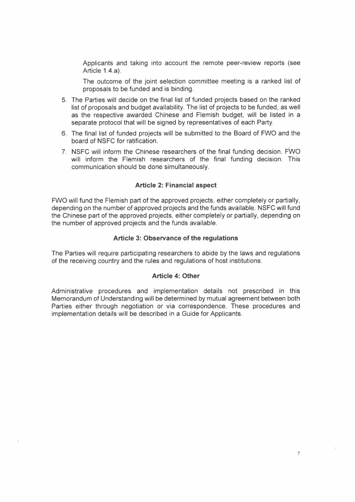Applicants and taking into account the remote peer-review reports (see Article 1.4.a).

The outcome of the joint selection committee meeting is a ranked list of proposals to be funded and is binding.

- 5. The Parties will decide on the final list of funded projects based on the ranked list of proposals and budget availability. The list of projects to be funded, as well as the respective awarded Chinese and Flemish budget, will be listed in a separate protocol that will be signed by representatives of each Party.
- 6. The final list of funded projects will be submitted to the Board of FWD and the board of NSFC for ratification.
- ;' 7. NSFC will inform the Chinese researchers of the final funding decision. FWO will inform the Flemish researchers of the final funding decision. This communication should be done simultaneously.

#### **Article 2: Financial aspect**

FWO will fund the Flemish part of the approved projects, either completely or partially, depending on the number of approved projects and the funds available. NSFC will fund the Chinese part of the approved projects, either completely or partially, depending on the number of approved projects and the funds available.

#### **Article 3: Observance of the regulations**

The Parties will require participating researchers to abide by the laws and regulations of the receiving country and the rules and regulations of host institutions.

#### **Article 4: Other**

Administrative procedures and implementation details not prescribed in this Memorandum of Understanding will be determined by mutual agreement between both Parties either through negotiation or via correspondence. These procedures and implementation details will be described in a Guide for Applicants.